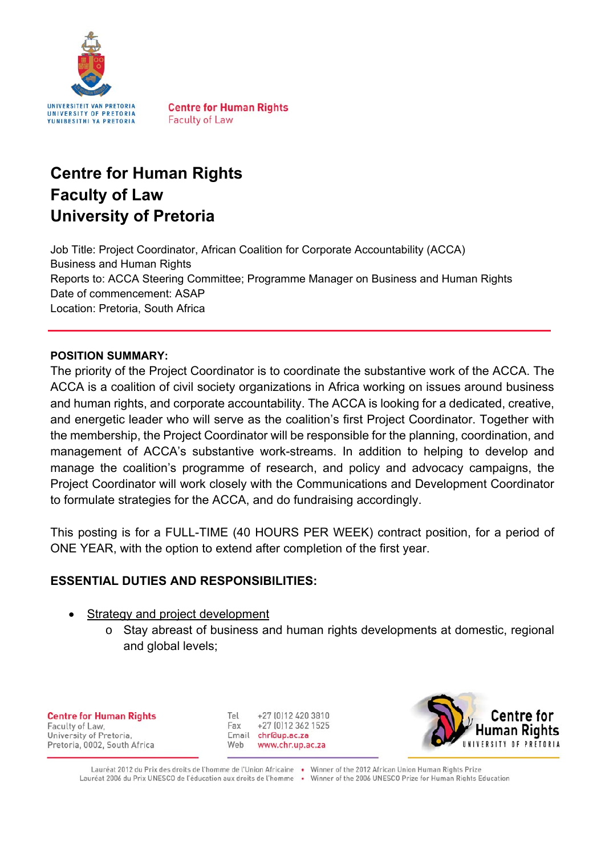

**Centre for Human Rights Faculty of Law** 

# **Centre for Human Rights Faculty of Law University of Pretoria**

Job Title: Project Coordinator, African Coalition for Corporate Accountability (ACCA) Business and Human Rights Reports to: ACCA Steering Committee; Programme Manager on Business and Human Rights Date of commencement: ASAP Location: Pretoria, South Africa

#### **POSITION SUMMARY:**

The priority of the Project Coordinator is to coordinate the substantive work of the ACCA. The ACCA is a coalition of civil society organizations in Africa working on issues around business and human rights, and corporate accountability. The ACCA is looking for a dedicated, creative, and energetic leader who will serve as the coalition's first Project Coordinator. Together with the membership, the Project Coordinator will be responsible for the planning, coordination, and management of ACCA's substantive work-streams. In addition to helping to develop and manage the coalition's programme of research, and policy and advocacy campaigns, the Project Coordinator will work closely with the Communications and Development Coordinator to formulate strategies for the ACCA, and do fundraising accordingly.

This posting is for a FULL-TIME (40 HOURS PER WEEK) contract position, for a period of ONE YEAR, with the option to extend after completion of the first year.

#### **ESSENTIAL DUTIES AND RESPONSIBILITIES:**

- Strategy and project development
	- o Stay abreast of business and human rights developments at domestic, regional and global levels;

**Centre for Human Rights** Faculty of Law, University of Pretoria, Pretoria, 0002, South Africa

Tel +27 (0) 12 420 3810 Fax +27 [0] 12 362 1525 Email chr@up.ac.za Web www.chr.up.ac.za



Lauréat 2012 du Prix des droits de l'homme de l'Union Africaine · Winner of the 2012 African Union Human Rights Prize Lauréat 2006 du Prix UNESCO de l'éducation aux droits de l'homme · Winner of the 2006 UNESCO Prize for Human Rights Education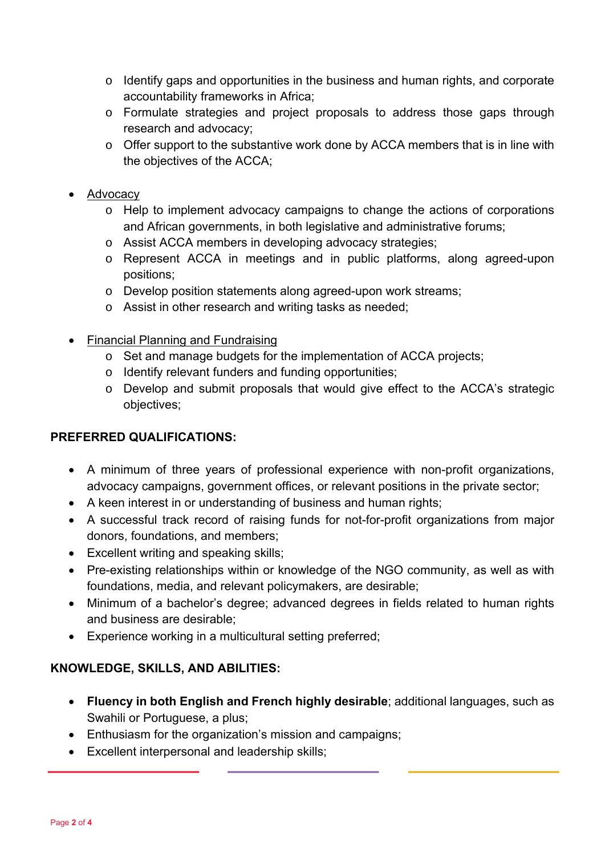- o Identify gaps and opportunities in the business and human rights, and corporate accountability frameworks in Africa;
- o Formulate strategies and project proposals to address those gaps through research and advocacy;
- o Offer support to the substantive work done by ACCA members that is in line with the objectives of the ACCA;
- Advocacy
	- o Help to implement advocacy campaigns to change the actions of corporations and African governments, in both legislative and administrative forums;
	- o Assist ACCA members in developing advocacy strategies;
	- o Represent ACCA in meetings and in public platforms, along agreed-upon positions;
	- o Develop position statements along agreed-upon work streams;
	- o Assist in other research and writing tasks as needed;
- Financial Planning and Fundraising
	- o Set and manage budgets for the implementation of ACCA projects;
	- o Identify relevant funders and funding opportunities;
	- o Develop and submit proposals that would give effect to the ACCA's strategic objectives;

#### **PREFERRED QUALIFICATIONS:**

- A minimum of three years of professional experience with non-profit organizations, advocacy campaigns, government offices, or relevant positions in the private sector;
- A keen interest in or understanding of business and human rights;
- A successful track record of raising funds for not-for-profit organizations from major donors, foundations, and members;
- Excellent writing and speaking skills;
- Pre-existing relationships within or knowledge of the NGO community, as well as with foundations, media, and relevant policymakers, are desirable;
- Minimum of a bachelor's degree; advanced degrees in fields related to human rights and business are desirable;
- Experience working in a multicultural setting preferred;

#### **KNOWLEDGE, SKILLS, AND ABILITIES:**

- **Fluency in both English and French highly desirable**; additional languages, such as Swahili or Portuguese, a plus;
- Enthusiasm for the organization's mission and campaigns;
- Excellent interpersonal and leadership skills;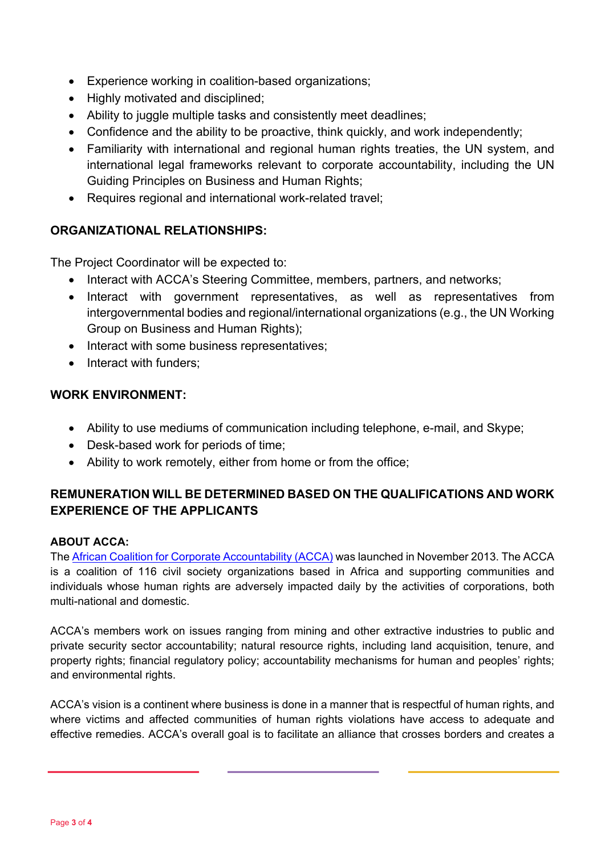- Experience working in coalition-based organizations;
- Highly motivated and disciplined:
- Ability to juggle multiple tasks and consistently meet deadlines;
- Confidence and the ability to be proactive, think quickly, and work independently;
- Familiarity with international and regional human rights treaties, the UN system, and international legal frameworks relevant to corporate accountability, including the UN Guiding Principles on Business and Human Rights;
- Requires regional and international work-related travel;

### **ORGANIZATIONAL RELATIONSHIPS:**

The Project Coordinator will be expected to:

- Interact with ACCA's Steering Committee, members, partners, and networks;
- Interact with government representatives, as well as representatives from intergovernmental bodies and regional/international organizations (e.g., the UN Working Group on Business and Human Rights);
- Interact with some business representatives;
- Interact with funders:

#### **WORK ENVIRONMENT:**

- Ability to use mediums of communication including telephone, e-mail, and Skype;
- Desk-based work for periods of time;
- Ability to work remotely, either from home or from the office;

## **REMUNERATION WILL BE DETERMINED BASED ON THE QUALIFICATIONS AND WORK EXPERIENCE OF THE APPLICANTS**

#### **ABOUT ACCA:**

The African Coalition for Corporate Accountability (ACCA) was launched in November 2013. The ACCA is a coalition of 116 civil society organizations based in Africa and supporting communities and individuals whose human rights are adversely impacted daily by the activities of corporations, both multi-national and domestic.

ACCA's members work on issues ranging from mining and other extractive industries to public and private security sector accountability; natural resource rights, including land acquisition, tenure, and property rights; financial regulatory policy; accountability mechanisms for human and peoples' rights; and environmental rights.

ACCA's vision is a continent where business is done in a manner that is respectful of human rights, and where victims and affected communities of human rights violations have access to adequate and effective remedies. ACCA's overall goal is to facilitate an alliance that crosses borders and creates a